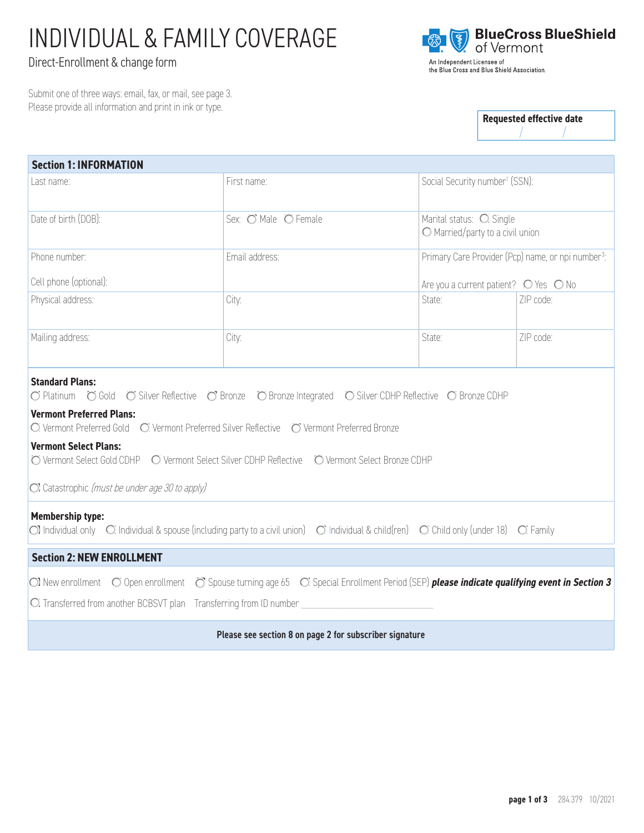# INDIVIDUAL & FAMILY COVERAGE

## Direct-Enrollment & change form

Submit one of three ways: email, fax, or mail, see page 3. Please provide all information and print in ink or type.



**Requested effective date** / /

| <b>Section 1: INFORMATION</b>                                                                                                                                                                                                                                                                                                                                                                          |                      |                                            |                                                              |                                                                |  |  |
|--------------------------------------------------------------------------------------------------------------------------------------------------------------------------------------------------------------------------------------------------------------------------------------------------------------------------------------------------------------------------------------------------------|----------------------|--------------------------------------------|--------------------------------------------------------------|----------------------------------------------------------------|--|--|
| l ast name:                                                                                                                                                                                                                                                                                                                                                                                            | First name:          | Social Security number <sup>1</sup> (SSN): |                                                              |                                                                |  |  |
| Date of birth (DOB):                                                                                                                                                                                                                                                                                                                                                                                   | Sex: O Male O Female |                                            | Marital status: O Single<br>O Married/party to a civil union |                                                                |  |  |
| Phone number:                                                                                                                                                                                                                                                                                                                                                                                          | Email address:       |                                            |                                                              | Primary Care Provider (Pcp) name, or npi number <sup>3</sup> : |  |  |
| Cell phone (optional):                                                                                                                                                                                                                                                                                                                                                                                 |                      |                                            | Are you a current patient? $\bigcirc$ Yes $\bigcirc$ No      |                                                                |  |  |
| Physical address:                                                                                                                                                                                                                                                                                                                                                                                      | City:                |                                            | State:                                                       | 7IP code:                                                      |  |  |
| Mailing address:                                                                                                                                                                                                                                                                                                                                                                                       | City:                |                                            | State:                                                       | ZIP code:                                                      |  |  |
| <b>Standard Plans:</b><br>O Platinum O Gold O Silver Reflective O Bronze O Bronze Integrated O Silver CDHP Reflective O Bronze CDHP<br><b>Vermont Preferred Plans:</b><br>○ Vermont Preferred Gold ○ Vermont Preferred Silver Reflective ○ Vermont Preferred Bronze<br><b>Vermont Select Plans:</b><br>O Vermont Select Gold CDHP O Vermont Select Silver CDHP Reflective O Vermont Select Bronze CDHP |                      |                                            |                                                              |                                                                |  |  |
| Ol Catastrophic (must be under age 30 to apply)                                                                                                                                                                                                                                                                                                                                                        |                      |                                            |                                                              |                                                                |  |  |
| <b>Membership type:</b><br>$\bigcirc$ ] Individual only $\bigcirc$ Individual & spouse (including party to a civil union) $\bigcirc$ Individual & child(ren) $\bigcirc$ Child only (under 18) $\bigcirc$ Family                                                                                                                                                                                        |                      |                                            |                                                              |                                                                |  |  |
| <b>Section 2: NEW ENROLLMENT</b>                                                                                                                                                                                                                                                                                                                                                                       |                      |                                            |                                                              |                                                                |  |  |
| $\bigcirc$ ] New enrollment $\bigcirc$ Open enrollment $\bigcirc$ Spouse turning age 65 $\bigcirc$ . Special Enrollment Period (SEP) please indicate qualifying event in Section 3<br>O Transferred from another BCBSVT plan Transferring from ID number                                                                                                                                               |                      |                                            |                                                              |                                                                |  |  |
| Please see section 8 on page 2 for subscriber signature                                                                                                                                                                                                                                                                                                                                                |                      |                                            |                                                              |                                                                |  |  |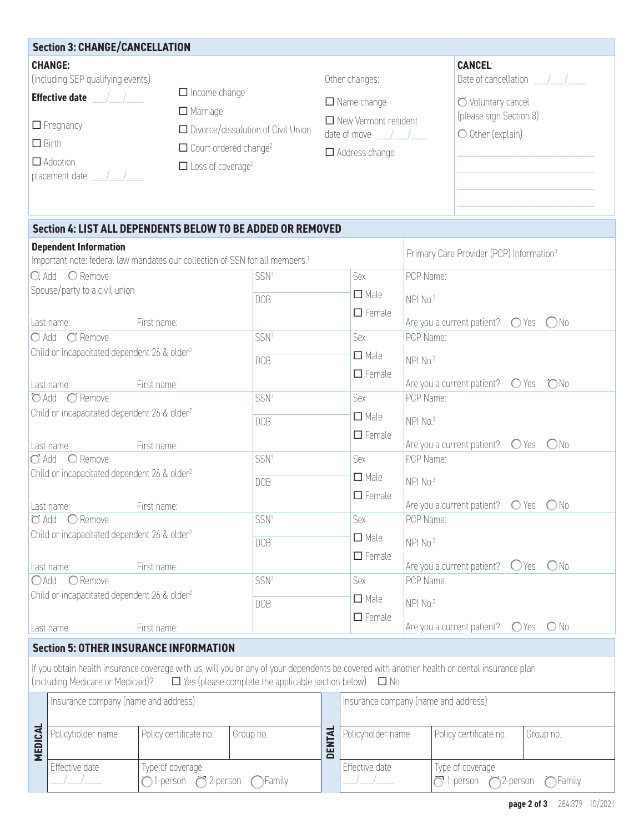|                                                                                                                                                                                                                                                                                                          | <b>Section 3: CHANGE/CANCELLATION</b>                                         |                                                                                  |                                                             |                                                                                 |                                                      |                                                                    |                       |
|----------------------------------------------------------------------------------------------------------------------------------------------------------------------------------------------------------------------------------------------------------------------------------------------------------|-------------------------------------------------------------------------------|----------------------------------------------------------------------------------|-------------------------------------------------------------|---------------------------------------------------------------------------------|------------------------------------------------------|--------------------------------------------------------------------|-----------------------|
|                                                                                                                                                                                                                                                                                                          | <b>CHANGE:</b><br>(including SEP qualifying events)                           |                                                                                  | Other changes:                                              |                                                                                 | <b>CANCEL:</b>                                       | Date of cancellation /                                             |                       |
| $\Box$ Birth                                                                                                                                                                                                                                                                                             | <b>Effective date</b> / /<br>$\Box$ Pregnancy                                 | $\Box$ Income change<br>$\Box$ Marriage                                          | □ Divorce/dissolution of Civil Union                        | $\Box$ Name change<br>$\Box$ New Vermont resident<br>date of move $\frac{1}{2}$ |                                                      | O Voluntary cancel<br>(please sign Section 8)<br>O Other (explain) |                       |
|                                                                                                                                                                                                                                                                                                          | $\Box$ Adoption<br>placement date /                                           | $\Box$ Court ordered change <sup>2</sup><br>$\Box$ Loss of coverage <sup>2</sup> |                                                             | $\Box$ Address change                                                           |                                                      |                                                                    |                       |
|                                                                                                                                                                                                                                                                                                          |                                                                               |                                                                                  | Section 4: LIST ALL DEPENDENTS BELOW TO BE ADDED OR REMOVED |                                                                                 |                                                      |                                                                    |                       |
| <b>Dependent Information</b><br>Important note: federal law mandates our collection of SSN for all members. <sup>1</sup>                                                                                                                                                                                 |                                                                               |                                                                                  |                                                             |                                                                                 | Primary Care Provider (PCP) Information <sup>3</sup> |                                                                    |                       |
|                                                                                                                                                                                                                                                                                                          | C Add C Remove                                                                |                                                                                  | SSN <sup>1</sup>                                            | Sex                                                                             | PCP Name:                                            |                                                                    |                       |
|                                                                                                                                                                                                                                                                                                          | Spouse/party to a civil union<br>Last name:                                   | First name:                                                                      | <b>DOB</b>                                                  | $\Box$ Male<br>$\Box$ Female                                                    | NPI No.3                                             | Are you a current patient?                                         | $O Yes$ $O No$        |
|                                                                                                                                                                                                                                                                                                          | O Add O Remove                                                                |                                                                                  | SSN <sup>1</sup>                                            | Sex                                                                             | PCP Name:                                            |                                                                    |                       |
|                                                                                                                                                                                                                                                                                                          | Child or incapacitated dependent 26 & older <sup>2</sup>                      |                                                                                  | <b>DOB</b>                                                  | $\Box$ Male<br>$\Box$ Female                                                    | NPI No.3                                             |                                                                    |                       |
|                                                                                                                                                                                                                                                                                                          | Last name:                                                                    | First name:                                                                      |                                                             |                                                                                 | PCP Name:                                            | Are you a current patient?                                         | <b>ONo</b><br>$O$ Yes |
|                                                                                                                                                                                                                                                                                                          | ○ Add ○ Remove<br>Child or incapacitated dependent 26 & older <sup>2</sup>    |                                                                                  | SSN <sup>1</sup><br><b>DOB</b>                              | Sex<br>$\Box$ Male                                                              | NPI No.3                                             |                                                                    |                       |
|                                                                                                                                                                                                                                                                                                          | Last name:                                                                    | First name:                                                                      |                                                             | $\Box$ Female                                                                   |                                                      | Are you a current patient?                                         | $O$ Yes<br>ONo        |
|                                                                                                                                                                                                                                                                                                          | O Add O Remove<br>Child or incapacitated dependent 26 & older <sup>2</sup>    |                                                                                  | SSN <sup>1</sup>                                            | Sex<br>$\Box$ Male                                                              | PCP Name:<br>NPI No.3                                |                                                                    |                       |
|                                                                                                                                                                                                                                                                                                          | Last name:                                                                    | First name:                                                                      | <b>DOB</b>                                                  | $\Box$ Female                                                                   |                                                      | Are you a current patient?                                         | $O$ Yes<br>ONo        |
| $O$ Add                                                                                                                                                                                                                                                                                                  | $\bigcirc$ Remove<br>Child or incapacitated dependent 26 & older <sup>2</sup> |                                                                                  | SSN <sup>1</sup><br><b>DOB</b>                              | Sex<br>$\Box$ Male                                                              | PCP Name:<br>NPI No.3                                |                                                                    |                       |
|                                                                                                                                                                                                                                                                                                          | Last name:                                                                    | First name:                                                                      |                                                             | $\Box$ Female                                                                   |                                                      | Are you a current patient?                                         | ONo<br>$O$ Yes        |
| $O$ Add                                                                                                                                                                                                                                                                                                  | O Remove<br>Child or incapacitated dependent 26 & older <sup>2</sup>          |                                                                                  | SSN <sup>1</sup><br><b>DOB</b>                              | Sex<br>$\Box$ Male                                                              | PCP Name:<br>NPI No.3                                |                                                                    |                       |
|                                                                                                                                                                                                                                                                                                          | Last name:                                                                    | First name:                                                                      |                                                             | $\Box$ Female                                                                   |                                                      | Are you a current patient?                                         | $O$ No<br>$O$ Yes     |
|                                                                                                                                                                                                                                                                                                          |                                                                               |                                                                                  |                                                             |                                                                                 |                                                      |                                                                    |                       |
| <b>Section 5: OTHER INSURANCE INFORMATION</b><br>If you obtain health insurance coverage with us, will you or any of your dependents be covered with another health or dental insurance plan<br>(including Medicare or Medicaid)?<br>$\Box$ Yes (please complete the applicable section below) $\Box$ No |                                                                               |                                                                                  |                                                             |                                                                                 |                                                      |                                                                    |                       |
|                                                                                                                                                                                                                                                                                                          | Insurance company (name and address)<br>Insurance company (name and address)  |                                                                                  |                                                             |                                                                                 |                                                      |                                                                    |                       |
| <b>MEDICAL</b>                                                                                                                                                                                                                                                                                           | Policyholder name                                                             | Policy certificate no.                                                           | Group no.                                                   | DENTAL<br>Policyholder name                                                     |                                                      | Policy certificate no.                                             | Group no.             |
|                                                                                                                                                                                                                                                                                                          | Effective date                                                                | Type of coverage<br>$\bigcap$ 1-person $\bigcap$ 2-person                        | Family                                                      | Effective date                                                                  |                                                      | Type of coverage<br>$\bigcirc$ 1-person $\bigcirc$ 2-person        | $\bigcap$ Family      |